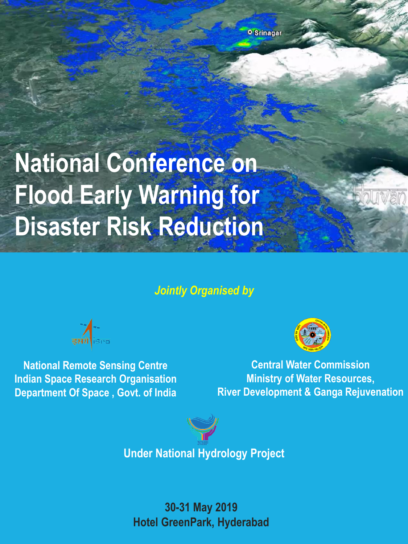# **National Conference on Flood Early Warning for Disaster Risk Reduction**

## *Jointly Organised by*



**National Remote Sensing Centre Indian Space Research Organisation Department Of Space , Govt. of India** 



**Central Water Commission Ministry of Water Resources, River Development & Ganga Rejuvenation**



**Under National Hydrology Project**

**30-31 May 2019 Hotel GreenPark, Hyderabad**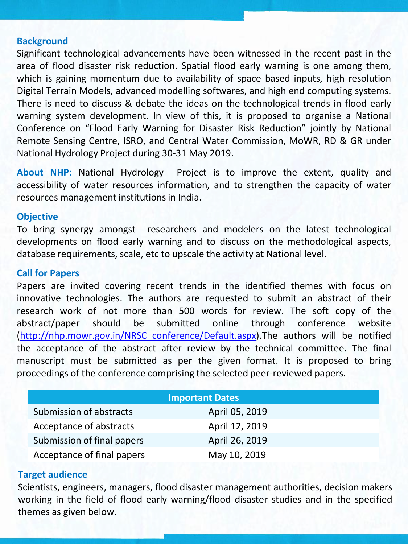## **Background**

Significant technological advancements have been witnessed in the recent past in the area of flood disaster risk reduction. Spatial flood early warning is one among them, which is gaining momentum due to availability of space based inputs, high resolution Digital Terrain Models, advanced modelling softwares, and high end computing systems. There is need to discuss & debate the ideas on the technological trends in flood early warning system development. In view of this, it is proposed to organise a National Conference on "Flood Early Warning for Disaster Risk Reduction" jointly by National Remote Sensing Centre, ISRO, and Central Water Commission, MoWR, RD & GR under National Hydrology Project during 30-31 May 2019.

**About NHP:** National Hydrology Project is to improve the extent, quality and accessibility of water resources information, and to strengthen the capacity of water resources management institutions in India.

### **Objective**

To bring synergy amongst researchers and modelers on the latest technological developments on flood early warning and to discuss on the methodological aspects, database requirements, scale, etc to upscale the activity at National level.

### **Call for Papers**

Papers are invited covering recent trends in the identified themes with focus on innovative technologies. The authors are requested to submit an abstract of their research work of not more than 500 words for review. The soft copy of the abstract/paper should be submitted online through conference website [\(http://nhp.mowr.gov.in/NRSC\\_conference/Default.aspx](http://nhp.mowr.gov.in/NRSC_conference/Default.aspx)).The authors will be notified the acceptance of the abstract after review by the technical committee. The final manuscript must be submitted as per the given format. It is proposed to bring proceedings of the conference comprising the selected peer-reviewed papers.

| <b>Important Dates</b>     |                |
|----------------------------|----------------|
| Submission of abstracts    | April 05, 2019 |
| Acceptance of abstracts    | April 12, 2019 |
| Submission of final papers | April 26, 2019 |
| Acceptance of final papers | May 10, 2019   |

### **Target audience**

Scientists, engineers, managers, flood disaster management authorities, decision makers working in the field of flood early warning/flood disaster studies and in the specified themes as given below.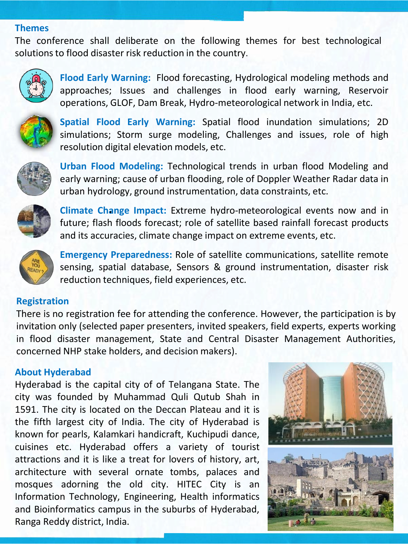#### **Themes**

The conference shall deliberate on the following themes for best technological solutions to flood disaster risk reduction in the country.



**Flood Early Warning:** Flood forecasting, Hydrological modeling methods and approaches; Issues and challenges in flood early warning, Reservoir operations, GLOF, Dam Break, Hydro-meteorological network in India, etc.



**Spatial Flood Early Warning:** Spatial flood inundation simulations; 2D simulations; Storm surge modeling, Challenges and issues, role of high resolution digital elevation models, etc.



**Urban Flood Modeling:** Technological trends in urban flood Modeling and early warning; cause of urban flooding, role of Doppler Weather Radar data in urban hydrology, ground instrumentation, data constraints, etc.



**Climate Change Impact:** Extreme hydro-meteorological events now and in . future; flash floods forecast; role of satellite based rainfall forecast products and its accuracies, climate change impact on extreme events, etc.



**Emergency Preparedness:** Role of satellite communications, satellite remote sensing, spatial database, Sensors & ground instrumentation, disaster risk reduction techniques, field experiences, etc.

## **Registration**

There is no registration fee for attending the conference. However, the participation is by invitation only (selected paper presenters, invited speakers, field experts, experts working in flood disaster management, State and Central Disaster Management Authorities, concerned NHP stake holders, and decision makers).

## **About Hyderabad**

Hyderabad is the capital city of of Telangana State. The city was founded by Muhammad Quli Qutub Shah in 1591. The city is located on the Deccan Plateau and it is the fifth largest city of India. The city of Hyderabad is known for pearls, Kalamkari handicraft, Kuchipudi dance, cuisines etc. Hyderabad offers a variety of tourist attractions and it is like a treat for lovers of history, art, architecture with several ornate tombs, palaces and mosques adorning the old city. HITEC City is an Information Technology, Engineering, Health informatics and Bioinformatics campus in the suburbs of Hyderabad, Ranga Reddy district, India.